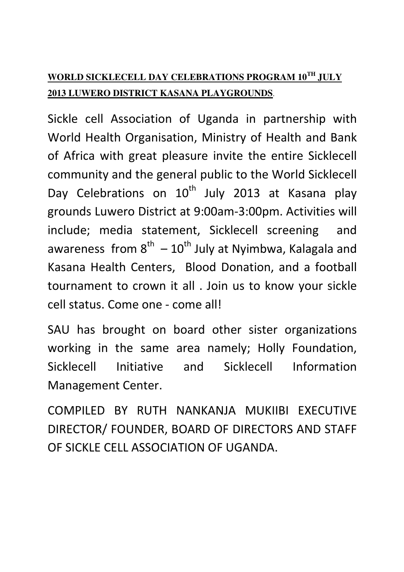## **WORLD SICKLECELL DAY CELEBRATIONS PROGRAM 10TH JULY 2013 LUWERO DISTRICT KASANA PLAYGROUNDS**.

Sickle cell Association of Uganda in partnership with World Health Organisation, Ministry of Health and Bank of Africa with great pleasure invite the entire Sicklecell community and the general public to the World Sicklecell Day Celebrations on 10<sup>th</sup> July 2013 at Kasana play grounds Luwero District at 9:00am-3:00pm. Activities will include; media statement, Sicklecell screening and awareness from  $8^{th} - 10^{th}$  July at Nyimbwa, Kalagala and Kasana Health Centers, Blood Donation, and a football tournament to crown it all . Join us to know your sickle cell status. Come one - come all!

SAU has brought on board other sister organizations working in the same area namely; Holly Foundation, Sicklecell Initiative and Sicklecell Information Management Center.

COMPILED BY RUTH NANKANJA MUKIIBI EXECUTIVE DIRECTOR/ FOUNDER, BOARD OF DIRECTORS AND STAFF OF SICKLE CELL ASSOCIATION OF UGANDA.